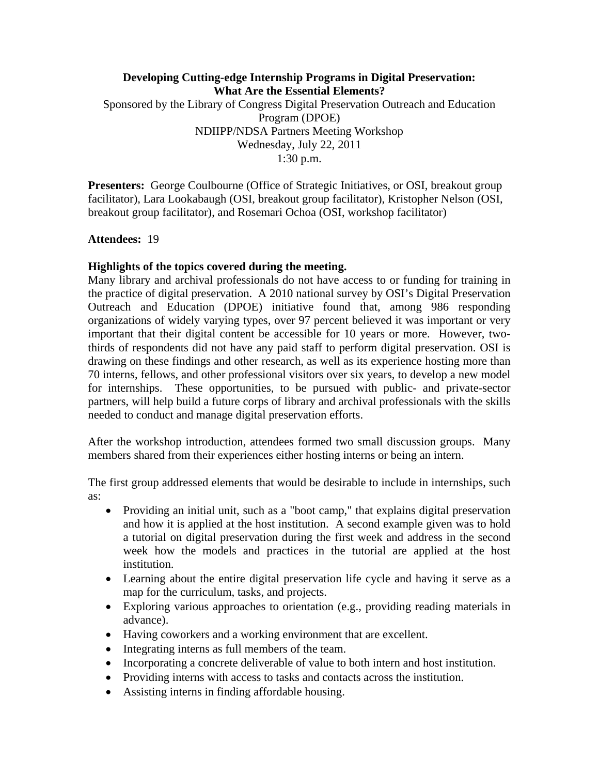# **Developing Cutting-edge Internship Programs in Digital Preservation: What Are the Essential Elements?** Sponsored by the Library of Congress Digital Preservation Outreach and Education Program (DPOE) NDIIPP/NDSA Partners Meeting Workshop Wednesday, July 22, 2011 1:30 p.m.

**Presenters:** George Coulbourne (Office of Strategic Initiatives, or OSI, breakout group facilitator), Lara Lookabaugh (OSI, breakout group facilitator), Kristopher Nelson (OSI, breakout group facilitator), and Rosemari Ochoa (OSI, workshop facilitator)

## **Attendees:** 19

## **Highlights of the topics covered during the meeting.**

Many library and archival professionals do not have access to or funding for training in the practice of digital preservation. A 2010 national survey by OSI's Digital Preservation Outreach and Education (DPOE) initiative found that, among 986 responding organizations of widely varying types, over 97 percent believed it was important or very important that their digital content be accessible for 10 years or more. However, twothirds of respondents did not have any paid staff to perform digital preservation. OSI is drawing on these findings and other research, as well as its experience hosting more than 70 interns, fellows, and other professional visitors over six years, to develop a new model for internships. These opportunities, to be pursued with public- and private-sector partners, will help build a future corps of library and archival professionals with the skills needed to conduct and manage digital preservation efforts.

After the workshop introduction, attendees formed two small discussion groups. Many members shared from their experiences either hosting interns or being an intern.

The first group addressed elements that would be desirable to include in internships, such as:

- Providing an initial unit, such as a "boot camp," that explains digital preservation and how it is applied at the host institution. A second example given was to hold a tutorial on digital preservation during the first week and address in the second week how the models and practices in the tutorial are applied at the host institution.
- Learning about the entire digital preservation life cycle and having it serve as a map for the curriculum, tasks, and projects.
- Exploring various approaches to orientation (e.g., providing reading materials in advance).
- Having coworkers and a working environment that are excellent.
- Integrating interns as full members of the team.
- Incorporating a concrete deliverable of value to both intern and host institution.
- Providing interns with access to tasks and contacts across the institution.
- Assisting interns in finding affordable housing.